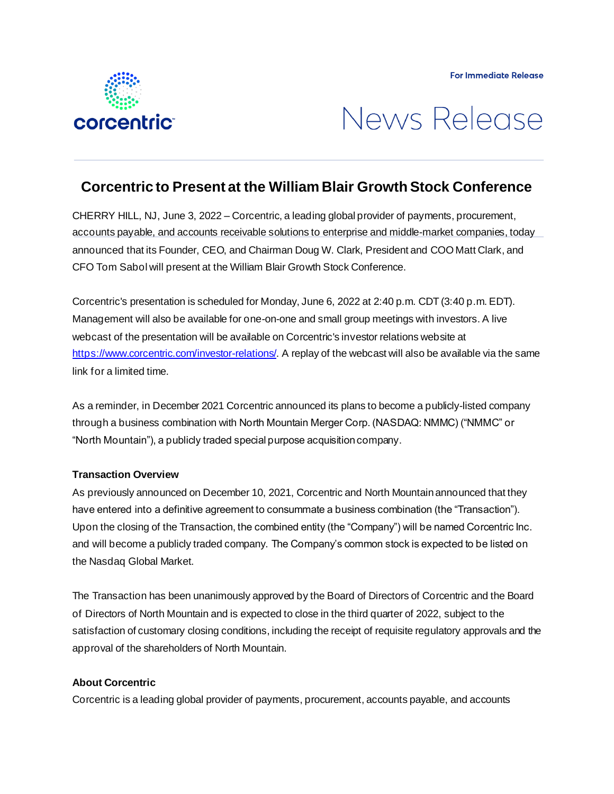



# **Corcentric to Present at the William Blair Growth Stock Conference**

CHERRY HILL, NJ, June 3, 2022 – Corcentric, a leading global provider of payments, procurement, accounts payable, and accounts receivable solutions to enterprise and middle-market companies, today announced that its Founder, CEO, and Chairman Doug W. Clark, President and COO Matt Clark, and CFO Tom Sabol will present at the William Blair Growth Stock Conference.

Corcentric's presentation is scheduled for Monday, June 6, 2022 at 2:40 p.m. CDT (3:40 p.m. EDT). Management will also be available for one-on-one and small group meetings with investors. A live webcast of the presentation will be available on Corcentric's investor relations website at <https://www.corcentric.com/investor-relations/>. A replay of the webcast will also be available via the same link for a limited time.

As a reminder, in December 2021 Corcentric announced its plans to become a publicly-listed company through a business combination with North Mountain Merger Corp. (NASDAQ: NMMC) ("NMMC" or "North Mountain"), a publicly traded special purpose acquisition company.

## **Transaction Overview**

As previously announced on December 10, 2021, Corcentric and North Mountain announced that they have entered into a definitive agreement to consummate a business combination (the "Transaction"). Upon the closing of the Transaction, the combined entity (the "Company") will be named Corcentric Inc. and will become a publicly traded company. The Company's common stock is expected to be listed on the Nasdaq Global Market.

The Transaction has been unanimously approved by the Board of Directors of Corcentric and the Board of Directors of North Mountain and is expected to close in the third quarter of 2022, subject to the satisfaction of customary closing conditions, including the receipt of requisite regulatory approvals and the approval of the shareholders of North Mountain.

## **About Corcentric**

Corcentric is a leading global provider of payments, procurement, accounts payable, and accounts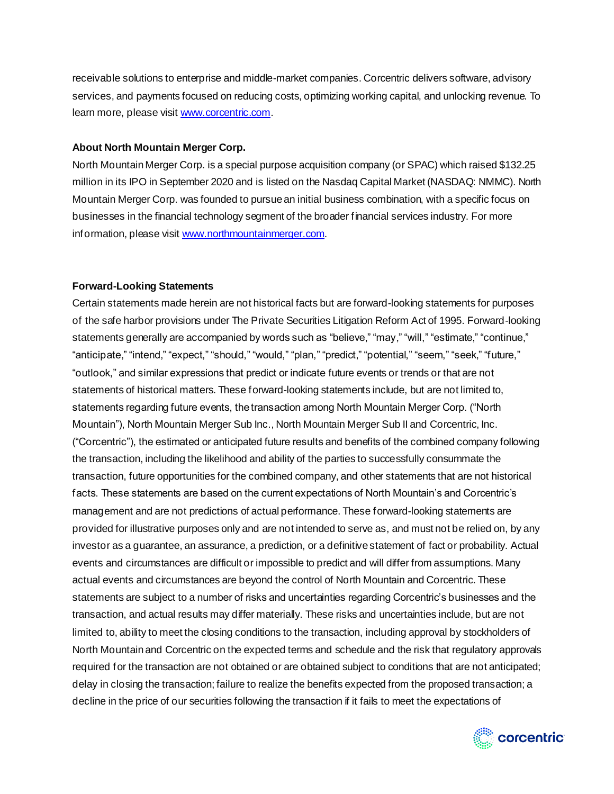receivable solutions to enterprise and middle-market companies. Corcentric delivers software, advisory services, and payments focused on reducing costs, optimizing working capital, and unlocking revenue. To learn more, please visi[t www.corcentric.com](http://www.corcentric.com/).

#### **About North Mountain Merger Corp.**

North Mountain Merger Corp. is a special purpose acquisition company (or SPAC) which raised \$132.25 million in its IPO in September 2020 and is listed on the Nasdaq Capital Market (NASDAQ: NMMC). North Mountain Merger Corp. was founded to pursue an initial business combination, with a specific focus on businesses in the financial technology segment of the broader financial services industry. For more information, please visi[t www.northmountainmerger.com](http://www.northmountainmerger.com/).

## **Forward-Looking Statements**

Certain statements made herein are not historical facts but are forward-looking statements for purposes of the safe harbor provisions under The Private Securities Litigation Reform Act of 1995. Forward-looking statements generally are accompanied by words such as "believe," "may," "will," "estimate," "continue," "anticipate," "intend," "expect," "should," "would," "plan," "predict," "potential," "seem," "seek," "future," "outlook," and similar expressions that predict or indicate future events or trends or that are not statements of historical matters. These forward-looking statements include, but are not limited to, statements regarding future events, the transaction among North Mountain Merger Corp. ("North Mountain"), North Mountain Merger Sub Inc., North Mountain Merger Sub II and Corcentric, Inc. ("Corcentric"), the estimated or anticipated future results and benefits of the combined company following the transaction, including the likelihood and ability of the parties to successfully consummate the transaction, future opportunities for the combined company, and other statements that are not historical facts. These statements are based on the current expectations of North Mountain's and Corcentric's management and are not predictions of actual performance. These forward-looking statements are provided for illustrative purposes only and are not intended to serve as, and must not be relied on, by any investor as a guarantee, an assurance, a prediction, or a definitive statement of fact or probability. Actual events and circumstances are difficult or impossible to predict and will differ from assumptions. Many actual events and circumstances are beyond the control of North Mountain and Corcentric. These statements are subject to a number of risks and uncertainties regarding Corcentric's businesses and the transaction, and actual results may differ materially. These risks and uncertainties include, but are not limited to, ability to meet the closing conditions to the transaction, including approval by stockholders of North Mountain and Corcentric on the expected terms and schedule and the risk that regulatory approvals required for the transaction are not obtained or are obtained subject to conditions that are not anticipated; delay in closing the transaction; failure to realize the benefits expected from the proposed transaction; a decline in the price of our securities following the transaction if it fails to meet the expectations of

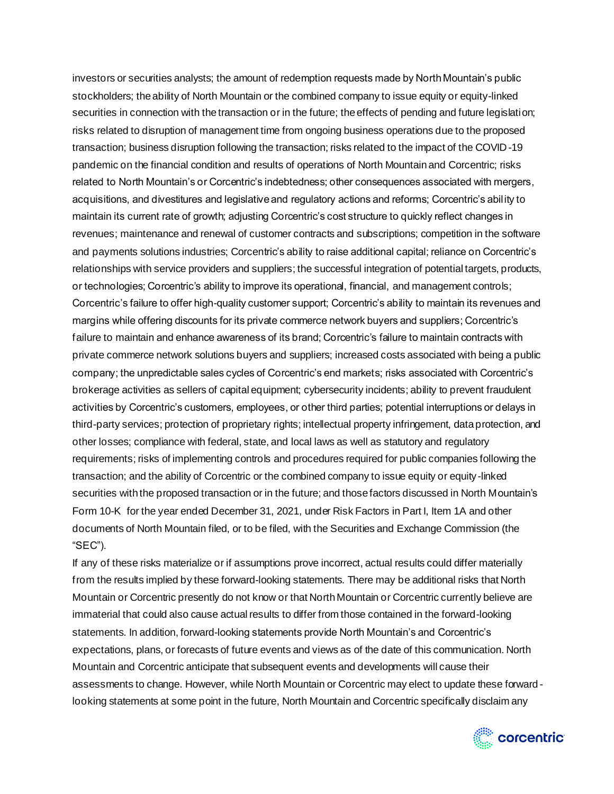investors or securities analysts; the amount of redemption requests made by North Mountain's public stockholders; the ability of North Mountain or the combined company to issue equity or equity-linked securities in connection with the transaction or in the future; the effects of pending and future legislation; risks related to disruption of management time from ongoing business operations due to the proposed transaction; business disruption following the transaction; risks related to the impact of the COVID-19 pandemic on the financial condition and results of operations of North Mountain and Corcentric; risks related to North Mountain's or Corcentric's indebtedness; other consequences associated with mergers, acquisitions, and divestitures and legislative and regulatory actions and reforms; Corcentric's ability to maintain its current rate of growth; adjusting Corcentric's cost structure to quickly reflect changes in revenues; maintenance and renewal of customer contracts and subscriptions; competition in the software and payments solutions industries; Corcentric's ability to raise additional capital; reliance on Corcentric's relationships with service providers and suppliers; the successful integration of potential targets, products, or technologies; Corcentric's ability to improve its operational, financial, and management controls; Corcentric's failure to offer high-quality customer support; Corcentric's ability to maintain its revenues and margins while offering discounts for its private commerce network buyers and suppliers; Corcentric's failure to maintain and enhance awareness of its brand; Corcentric's failure to maintain contracts with private commerce network solutions buyers and suppliers; increased costs associated with being a public company; the unpredictable sales cycles of Corcentric's end markets; risks associated with Corcentric's brokerage activities as sellers of capital equipment; cybersecurity incidents; ability to prevent fraudulent activities by Corcentric's customers, employees, or other third parties; potential interruptions or delays in third-party services; protection of proprietary rights; intellectual property infringement, data protection, and other losses; compliance with federal, state, and local laws as well as statutory and regulatory requirements; risks of implementing controls and procedures required for public companies following the transaction; and the ability of Corcentric or the combined company to issue equity or equity-linked securities with the proposed transaction or in the future; and those factors discussed in North Mountain's Form 10-K for the year ended December 31, 2021, under Risk Factors in Part I, Item 1A and other documents of North Mountain filed, or to be filed, with the Securities and Exchange Commission (the "SEC").

If any of these risks materialize or if assumptions prove incorrect, actual results could differ materially from the results implied by these forward-looking statements. There may be additional risks that North Mountain or Corcentric presently do not know or that North Mountain or Corcentric currently believe are immaterial that could also cause actual results to differ from those contained in the forward-looking statements. In addition, forward-looking statements provide North Mountain's and Corcentric's expectations, plans, or forecasts of future events and views as of the date of this communication. North Mountain and Corcentric anticipate that subsequent events and developments will cause their assessments to change. However, while North Mountain or Corcentric may elect to update these forward looking statements at some point in the future, North Mountain and Corcentric specifically disclaim any

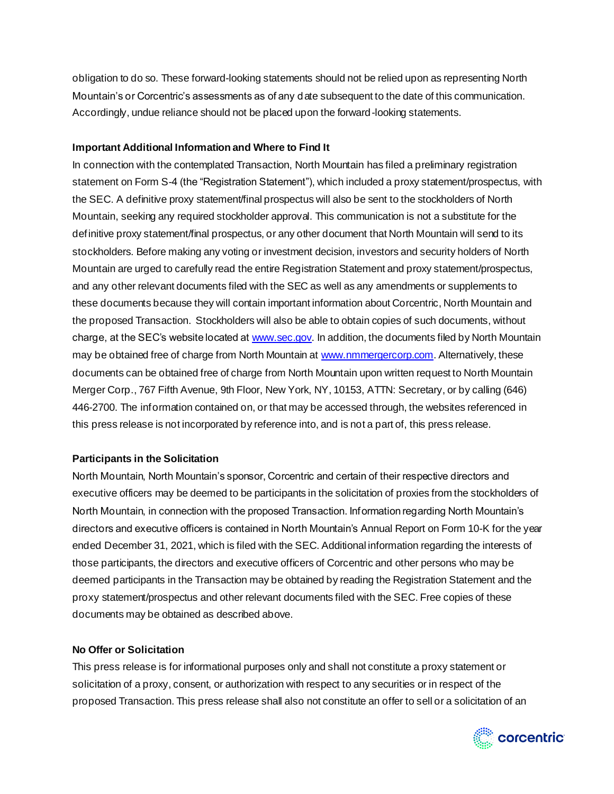obligation to do so. These forward-looking statements should not be relied upon as representing North Mountain's or Corcentric's assessments as of any date subsequent to the date of this communication. Accordingly, undue reliance should not be placed upon the forward-looking statements.

#### **Important Additional Information and Where to Find It**

In connection with the contemplated Transaction, North Mountain has filed a preliminary registration statement on Form S-4 (the "Registration Statement"), which included a proxy statement/prospectus, with the SEC. A definitive proxy statement/final prospectus will also be sent to the stockholders of North Mountain, seeking any required stockholder approval. This communication is not a substitute for the definitive proxy statement/final prospectus, or any other document that North Mountain will send to its stockholders. Before making any voting or investment decision, investors and security holders of North Mountain are urged to carefully read the entire Registration Statement and proxy statement/prospectus, and any other relevant documents filed with the SEC as well as any amendments or supplements to these documents because they will contain important information about Corcentric, North Mountain and the proposed Transaction. Stockholders will also be able to obtain copies of such documents, without charge, at the SEC's website located a[t www.sec.gov](http://www.sec.gov/). In addition, the documents filed by North Mountain may be obtained free of charge from North Mountain a[t www.nmmergercorp.com](http://www.nmmergercorp.com/). Alternatively, these documents can be obtained free of charge from North Mountain upon written request to North Mountain Merger Corp., 767 Fifth Avenue, 9th Floor, New York, NY, 10153, ATTN: Secretary, or by calling (646) 446-2700. The information contained on, or that may be accessed through, the websites referenced in this press release is not incorporated by reference into, and is not a part of, this press release.

## **Participants in the Solicitation**

North Mountain, North Mountain's sponsor, Corcentric and certain of their respective directors and executive officers may be deemed to be participants in the solicitation of proxies from the stockholders of North Mountain, in connection with the proposed Transaction. Information regarding North Mountain's directors and executive officers is contained in North Mountain's Annual Report on Form 10-K for the year ended December 31, 2021, which is filed with the SEC. Additional information regarding the interests of those participants, the directors and executive officers of Corcentric and other persons who may be deemed participants in the Transaction may be obtained by reading the Registration Statement and the proxy statement/prospectus and other relevant documents filed with the SEC. Free copies of these documents may be obtained as described above.

#### **No Offer or Solicitation**

This press release is for informational purposes only and shall not constitute a proxy statement or solicitation of a proxy, consent, or authorization with respect to any securities or in respect of the proposed Transaction. This press release shall also not constitute an offer to sell or a solicitation of an